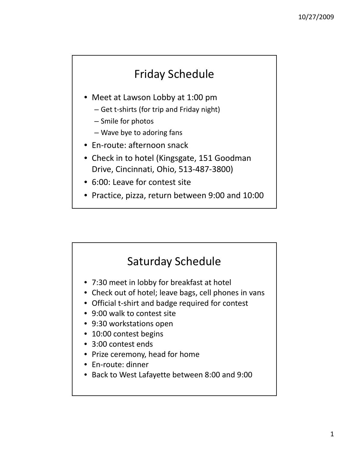## Friday Schedule

- Meet at Lawson Lobby at 1:00 pm
	- Get t‐shirts (for trip and Friday night)
	- Smile for photos
	- Wave bye to adoring fans
- En‐route: afternoon snack
- Check in to hotel (Kingsgate, 151 Goodman Drive, Cincinnati, Ohio, 513‐487‐3800)
- 6:00: Leave for contest site
- Practice, pizza, return between 9:00 and 10:00